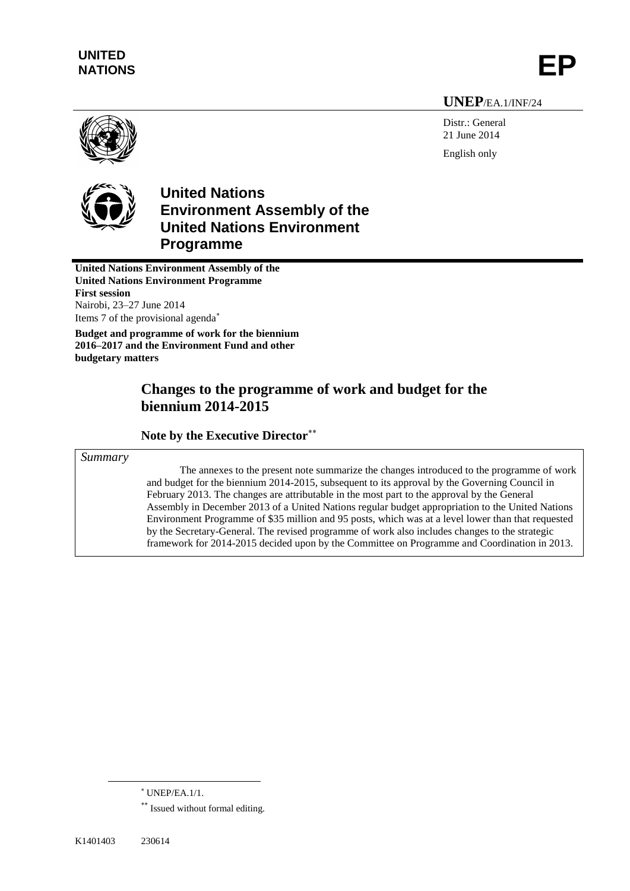# **UNITED** UNITED<br>NATIONS

#### **UNEP**/EA.1/INF/24

Distr.: General 21 June 2014 English only



# **United Nations Environment Assembly of the United Nations Environment Programme**

**United Nations Environment Assembly of the United Nations Environment Programme First session** Nairobi, 23–27 June 2014 Items 7 of the provisional agenda

**Budget and programme of work for the biennium 2016–2017 and the Environment Fund and other budgetary matters**

## **Changes to the programme of work and budget for the biennium 2014-2015**

#### **Note by the Executive Director**

*Summary* 

The annexes to the present note summarize the changes introduced to the programme of work and budget for the biennium 2014-2015, subsequent to its approval by the Governing Council in February 2013. The changes are attributable in the most part to the approval by the General Assembly in December 2013 of a United Nations regular budget appropriation to the United Nations Environment Programme of \$35 million and 95 posts, which was at a level lower than that requested by the Secretary-General. The revised programme of work also includes changes to the strategic framework for 2014-2015 decided upon by the Committee on Programme and Coordination in 2013.

 $\overline{\phantom{a}}$ 

UNEP/EA.1/1.

<sup>\*\*</sup> Issued without formal editing.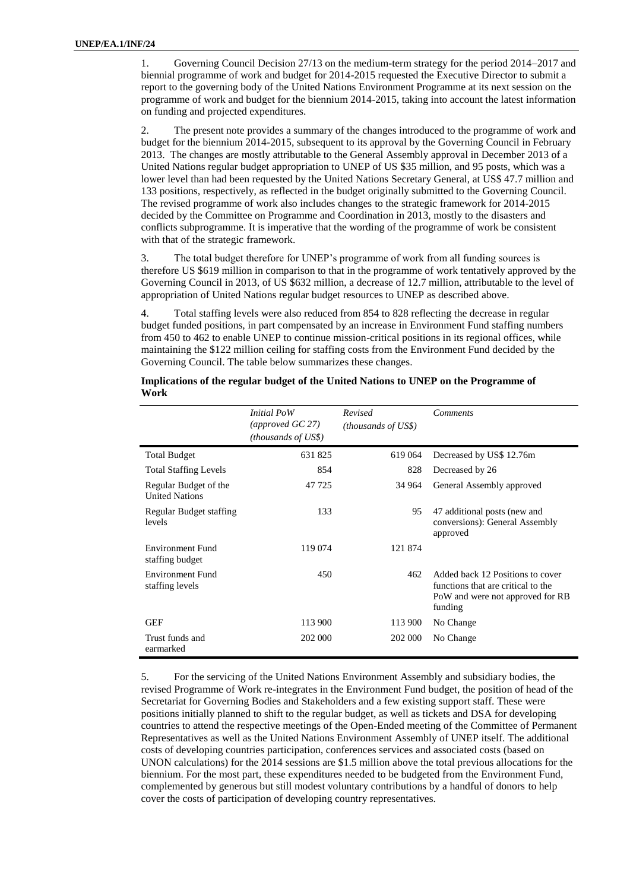1. Governing Council Decision 27/13 on the medium-term strategy for the period 2014–2017 and biennial programme of work and budget for 2014-2015 requested the Executive Director to submit a report to the governing body of the United Nations Environment Programme at its next session on the programme of work and budget for the biennium 2014-2015, taking into account the latest information on funding and projected expenditures.

2. The present note provides a summary of the changes introduced to the programme of work and budget for the biennium 2014-2015, subsequent to its approval by the Governing Council in February 2013. The changes are mostly attributable to the General Assembly approval in December 2013 of a United Nations regular budget appropriation to UNEP of US \$35 million, and 95 posts, which was a lower level than had been requested by the United Nations Secretary General, at US\$ 47.7 million and 133 positions, respectively, as reflected in the budget originally submitted to the Governing Council. The revised programme of work also includes changes to the strategic framework for 2014-2015 decided by the Committee on Programme and Coordination in 2013, mostly to the disasters and conflicts subprogramme. It is imperative that the wording of the programme of work be consistent with that of the strategic framework.

3. The total budget therefore for UNEP"s programme of work from all funding sources is therefore US \$619 million in comparison to that in the programme of work tentatively approved by the Governing Council in 2013, of US \$632 million, a decrease of 12.7 million, attributable to the level of appropriation of United Nations regular budget resources to UNEP as described above.

4. Total staffing levels were also reduced from 854 to 828 reflecting the decrease in regular budget funded positions, in part compensated by an increase in Environment Fund staffing numbers from 450 to 462 to enable UNEP to continue mission-critical positions in its regional offices, while maintaining the \$122 million ceiling for staffing costs from the Environment Fund decided by the Governing Council. The table below summarizes these changes.

|                                                | <i>Initial PoW</i><br>(approved $GC$ 27)<br>(thousands of US\$) | Revised<br><i>(thousands of US\$)</i> | <b>Comments</b>                                                                                                       |
|------------------------------------------------|-----------------------------------------------------------------|---------------------------------------|-----------------------------------------------------------------------------------------------------------------------|
| <b>Total Budget</b>                            | 631825                                                          | 619 064                               | Decreased by US\$ 12.76m                                                                                              |
| <b>Total Staffing Levels</b>                   | 854                                                             | 828                                   | Decreased by 26                                                                                                       |
| Regular Budget of the<br><b>United Nations</b> | 47 725                                                          | 34 964                                | General Assembly approved                                                                                             |
| Regular Budget staffing<br>levels              | 133                                                             | 95                                    | 47 additional posts (new and<br>conversions): General Assembly<br>approved                                            |
| <b>Environment Fund</b><br>staffing budget     | 119 074                                                         | 121 874                               |                                                                                                                       |
| <b>Environment Fund</b><br>staffing levels     | 450                                                             | 462                                   | Added back 12 Positions to cover<br>functions that are critical to the<br>PoW and were not approved for RB<br>funding |
| <b>GEF</b>                                     | 113 900                                                         | 113 900                               | No Change                                                                                                             |
| Trust funds and<br>earmarked                   | 202 000                                                         | 202 000                               | No Change                                                                                                             |

**Implications of the regular budget of the United Nations to UNEP on the Programme of Work**

5. For the servicing of the United Nations Environment Assembly and subsidiary bodies, the revised Programme of Work re-integrates in the Environment Fund budget, the position of head of the Secretariat for Governing Bodies and Stakeholders and a few existing support staff. These were positions initially planned to shift to the regular budget, as well as tickets and DSA for developing countries to attend the respective meetings of the Open-Ended meeting of the Committee of Permanent Representatives as well as the United Nations Environment Assembly of UNEP itself. The additional costs of developing countries participation, conferences services and associated costs (based on UNON calculations) for the 2014 sessions are \$1.5 million above the total previous allocations for the biennium. For the most part, these expenditures needed to be budgeted from the Environment Fund, complemented by generous but still modest voluntary contributions by a handful of donors to help cover the costs of participation of developing country representatives.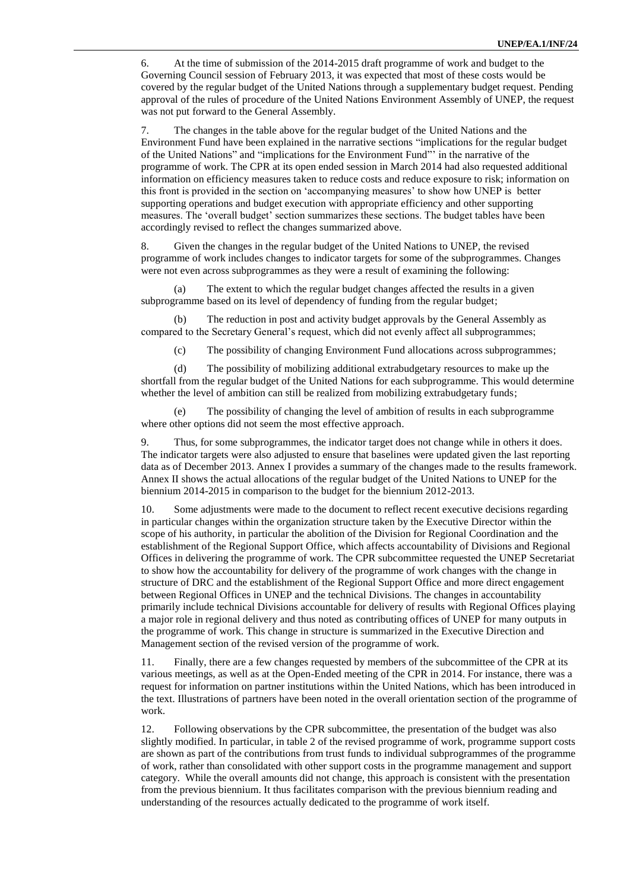6. At the time of submission of the 2014-2015 draft programme of work and budget to the Governing Council session of February 2013, it was expected that most of these costs would be covered by the regular budget of the United Nations through a supplementary budget request. Pending approval of the rules of procedure of the United Nations Environment Assembly of UNEP, the request was not put forward to the General Assembly.

7. The changes in the table above for the regular budget of the United Nations and the Environment Fund have been explained in the narrative sections "implications for the regular budget of the United Nations" and "implications for the Environment Fund"" in the narrative of the programme of work. The CPR at its open ended session in March 2014 had also requested additional information on efficiency measures taken to reduce costs and reduce exposure to risk; information on this front is provided in the section on "accompanying measures" to show how UNEP is better supporting operations and budget execution with appropriate efficiency and other supporting measures. The "overall budget" section summarizes these sections. The budget tables have been accordingly revised to reflect the changes summarized above.

8. Given the changes in the regular budget of the United Nations to UNEP, the revised programme of work includes changes to indicator targets for some of the subprogrammes. Changes were not even across subprogrammes as they were a result of examining the following:

(a) The extent to which the regular budget changes affected the results in a given subprogramme based on its level of dependency of funding from the regular budget;

(b) The reduction in post and activity budget approvals by the General Assembly as compared to the Secretary General"s request, which did not evenly affect all subprogrammes;

(c) The possibility of changing Environment Fund allocations across subprogrammes;

(d) The possibility of mobilizing additional extrabudgetary resources to make up the shortfall from the regular budget of the United Nations for each subprogramme. This would determine whether the level of ambition can still be realized from mobilizing extrabudgetary funds;

(e) The possibility of changing the level of ambition of results in each subprogramme where other options did not seem the most effective approach.

Thus, for some subprogrammes, the indicator target does not change while in others it does. The indicator targets were also adjusted to ensure that baselines were updated given the last reporting data as of December 2013. Annex I provides a summary of the changes made to the results framework. Annex II shows the actual allocations of the regular budget of the United Nations to UNEP for the biennium 2014-2015 in comparison to the budget for the biennium 2012-2013.

10. Some adjustments were made to the document to reflect recent executive decisions regarding in particular changes within the organization structure taken by the Executive Director within the scope of his authority, in particular the abolition of the Division for Regional Coordination and the establishment of the Regional Support Office, which affects accountability of Divisions and Regional Offices in delivering the programme of work. The CPR subcommittee requested the UNEP Secretariat to show how the accountability for delivery of the programme of work changes with the change in structure of DRC and the establishment of the Regional Support Office and more direct engagement between Regional Offices in UNEP and the technical Divisions. The changes in accountability primarily include technical Divisions accountable for delivery of results with Regional Offices playing a major role in regional delivery and thus noted as contributing offices of UNEP for many outputs in the programme of work. This change in structure is summarized in the Executive Direction and Management section of the revised version of the programme of work.

11. Finally, there are a few changes requested by members of the subcommittee of the CPR at its various meetings, as well as at the Open-Ended meeting of the CPR in 2014. For instance, there was a request for information on partner institutions within the United Nations, which has been introduced in the text. Illustrations of partners have been noted in the overall orientation section of the programme of work.

12. Following observations by the CPR subcommittee, the presentation of the budget was also slightly modified. In particular, in table 2 of the revised programme of work, programme support costs are shown as part of the contributions from trust funds to individual subprogrammes of the programme of work, rather than consolidated with other support costs in the programme management and support category. While the overall amounts did not change, this approach is consistent with the presentation from the previous biennium. It thus facilitates comparison with the previous biennium reading and understanding of the resources actually dedicated to the programme of work itself.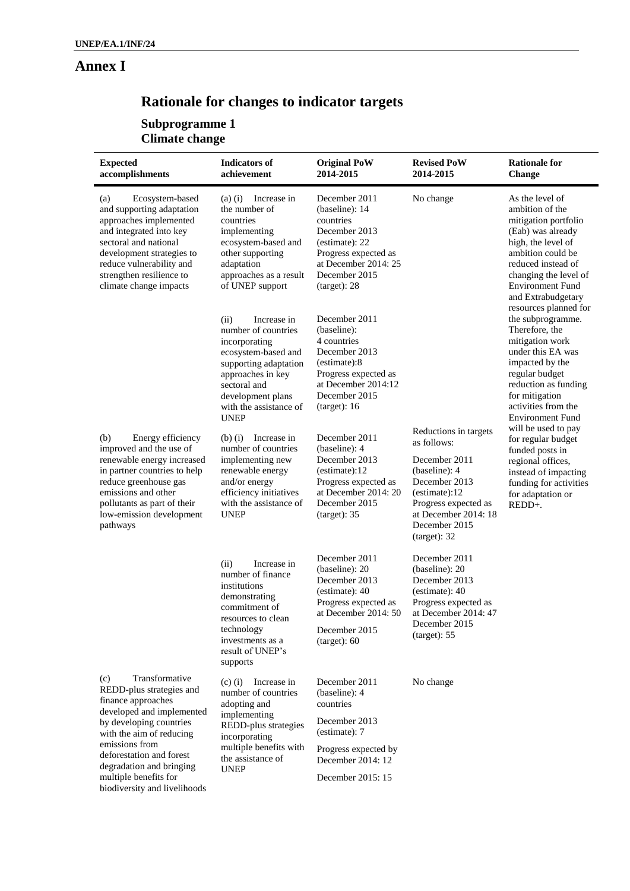# **Annex I**

# **Rationale for changes to indicator targets**

**Subprogramme 1 Climate change** 

| <b>Expected</b><br>accomplishments                                                                                                                                                                                                               | <b>Indicators of</b><br>achievement                                                                                                                                                                            | <b>Original PoW</b><br>2014-2015                                                                                                                                 | <b>Revised PoW</b><br>2014-2015                                                                                                                                                           | <b>Rationale for</b><br><b>Change</b>                                                                                                                                                                                                               |
|--------------------------------------------------------------------------------------------------------------------------------------------------------------------------------------------------------------------------------------------------|----------------------------------------------------------------------------------------------------------------------------------------------------------------------------------------------------------------|------------------------------------------------------------------------------------------------------------------------------------------------------------------|-------------------------------------------------------------------------------------------------------------------------------------------------------------------------------------------|-----------------------------------------------------------------------------------------------------------------------------------------------------------------------------------------------------------------------------------------------------|
| Ecosystem-based<br>(a)<br>and supporting adaptation<br>approaches implemented<br>and integrated into key<br>sectoral and national<br>development strategies to<br>reduce vulnerability and<br>strengthen resilience to<br>climate change impacts | Increase in<br>$(a)$ (i)<br>the number of<br>countries<br>implementing<br>ecosystem-based and<br>other supporting<br>adaptation<br>approaches as a result<br>of UNEP support                                   | December 2011<br>(baseline): 14<br>countries<br>December 2013<br>(estimate): 22<br>Progress expected as<br>at December 2014: 25<br>December 2015<br>(target): 28 | No change                                                                                                                                                                                 | As the level of<br>ambition of the<br>mitigation portfolio<br>(Eab) was already<br>high, the level of<br>ambition could be<br>reduced instead of<br>changing the level of<br><b>Environment Fund</b><br>and Extrabudgetary<br>resources planned for |
|                                                                                                                                                                                                                                                  | (ii)<br>Increase in<br>number of countries<br>incorporating<br>ecosystem-based and<br>supporting adaptation<br>approaches in key<br>sectoral and<br>development plans<br>with the assistance of<br><b>UNEP</b> | December 2011<br>(baseline):<br>4 countries<br>December 2013<br>(estimate):8<br>Progress expected as<br>at December 2014:12<br>December 2015<br>(target): 16     |                                                                                                                                                                                           | the subprogramme.<br>Therefore, the<br>mitigation work<br>under this EA was<br>impacted by the<br>regular budget<br>reduction as funding<br>for mitigation<br>activities from the<br><b>Environment Fund</b>                                        |
| (b)<br>Energy efficiency<br>improved and the use of<br>renewable energy increased<br>in partner countries to help<br>reduce greenhouse gas<br>emissions and other<br>pollutants as part of their<br>low-emission development<br>pathways         | Increase in<br>$(b)$ $(i)$<br>number of countries<br>implementing new<br>renewable energy<br>and/or energy<br>efficiency initiatives<br>with the assistance of<br><b>UNEP</b>                                  | December 2011<br>(baseline): 4<br>December 2013<br>(estimate):12<br>Progress expected as<br>at December 2014: 20<br>December 2015<br>(target): 35                | Reductions in targets<br>as follows:<br>December 2011<br>(baseline): 4<br>December 2013<br>(estimate):12<br>Progress expected as<br>at December 2014: 18<br>December 2015<br>(target): 32 | will be used to pay<br>for regular budget<br>funded posts in<br>regional offices,<br>instead of impacting<br>funding for activities<br>for adaptation or<br>REDD+.                                                                                  |
|                                                                                                                                                                                                                                                  | Increase in<br>(ii)<br>number of finance<br>institutions<br>demonstrating<br>commitment of<br>resources to clean<br>technology<br>investments as a<br>result of UNEP's<br>supports                             | December 2011<br>(baseline): 20<br>December 2013<br>(estimate): 40<br>Progress expected as<br>at December 2014: 50<br>December 2015<br>(target): 60              | December 2011<br>(baseline): 20<br>December 2013<br>(estimate): 40<br>Progress expected as<br>at December 2014: 47<br>December 2015<br>(target): 55                                       |                                                                                                                                                                                                                                                     |
| Transformative<br>(c)<br>REDD-plus strategies and<br>finance approaches<br>developed and implemented<br>by developing countries<br>with the aim of reducing                                                                                      | Increase in<br>$(c)$ (i)<br>number of countries<br>adopting and<br>implementing<br>REDD-plus strategies<br>incorporating                                                                                       | December 2011<br>(baseline): 4<br>countries<br>December 2013<br>(estimate): 7                                                                                    | No change                                                                                                                                                                                 |                                                                                                                                                                                                                                                     |
| emissions from<br>deforestation and forest<br>degradation and bringing<br>multiple benefits for<br>biodiversity and livelihoods                                                                                                                  | multiple benefits with<br>the assistance of<br><b>UNEP</b>                                                                                                                                                     | Progress expected by<br>December 2014: 12<br>December 2015: 15                                                                                                   |                                                                                                                                                                                           |                                                                                                                                                                                                                                                     |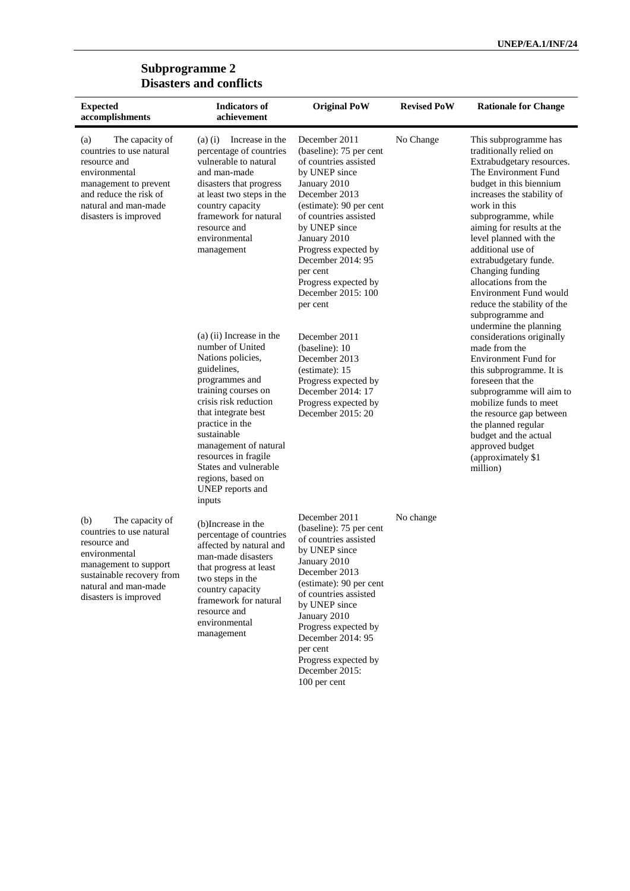#### **Subprogramme 2 Disasters and conflicts**

| <b>Expected</b><br>accomplishments                                                                                                                                                         | <b>Indicators of</b><br>achievement                                                                                                                                                                                                                                                                                                      | <b>Original PoW</b>                                                                                                                                                                                                                                                                                                         | <b>Revised PoW</b> | <b>Rationale for Change</b>                                                                                                                                                                                                                                                                                                                                                                                                                                   |
|--------------------------------------------------------------------------------------------------------------------------------------------------------------------------------------------|------------------------------------------------------------------------------------------------------------------------------------------------------------------------------------------------------------------------------------------------------------------------------------------------------------------------------------------|-----------------------------------------------------------------------------------------------------------------------------------------------------------------------------------------------------------------------------------------------------------------------------------------------------------------------------|--------------------|---------------------------------------------------------------------------------------------------------------------------------------------------------------------------------------------------------------------------------------------------------------------------------------------------------------------------------------------------------------------------------------------------------------------------------------------------------------|
| (a)<br>The capacity of<br>countries to use natural<br>resource and<br>environmental<br>management to prevent<br>and reduce the risk of<br>natural and man-made<br>disasters is improved    | Increase in the<br>$(a)$ $(i)$<br>percentage of countries<br>vulnerable to natural<br>and man-made<br>disasters that progress<br>at least two steps in the<br>country capacity<br>framework for natural<br>resource and<br>environmental<br>management                                                                                   | December 2011<br>(baseline): 75 per cent<br>of countries assisted<br>by UNEP since<br>January 2010<br>December 2013<br>(estimate): 90 per cent<br>of countries assisted<br>by UNEP since<br>January 2010<br>Progress expected by<br>December 2014: 95<br>per cent<br>Progress expected by<br>December 2015: 100<br>per cent | No Change          | This subprogramme has<br>traditionally relied on<br>Extrabudgetary resources.<br>The Environment Fund<br>budget in this biennium<br>increases the stability of<br>work in this<br>subprogramme, while<br>aiming for results at the<br>level planned with the<br>additional use of<br>extrabudgetary funde.<br>Changing funding<br>allocations from the<br>Environment Fund would<br>reduce the stability of the<br>subprogramme and<br>undermine the planning |
|                                                                                                                                                                                            | (a) (ii) Increase in the<br>number of United<br>Nations policies,<br>guidelines,<br>programmes and<br>training courses on<br>crisis risk reduction<br>that integrate best<br>practice in the<br>sustainable<br>management of natural<br>resources in fragile<br>States and vulnerable<br>regions, based on<br>UNEP reports and<br>inputs | December 2011<br>(baseline): 10<br>December 2013<br>(estimate): 15<br>Progress expected by<br>December 2014: 17<br>Progress expected by<br>December 2015: 20                                                                                                                                                                |                    | considerations originally<br>made from the<br><b>Environment Fund for</b><br>this subprogramme. It is<br>foreseen that the<br>subprogramme will aim to<br>mobilize funds to meet<br>the resource gap between<br>the planned regular<br>budget and the actual<br>approved budget<br>(approximately \$1<br>million)                                                                                                                                             |
| The capacity of<br>(b)<br>countries to use natural<br>resource and<br>environmental<br>management to support<br>sustainable recovery from<br>natural and man-made<br>disasters is improved | (b)Increase in the<br>percentage of countries<br>affected by natural and<br>man-made disasters<br>that progress at least<br>two steps in the<br>country capacity<br>framework for natural<br>resource and<br>environmental<br>management                                                                                                 | December 2011<br>(baseline): 75 per cent<br>of countries assisted<br>by UNEP since<br>January 2010<br>December 2013<br>(estimate): 90 per cent<br>of countries assisted<br>by UNEP since<br>January 2010<br>Progress expected by<br>December 2014: 95<br>per cent<br>Progress expected by<br>December 2015:<br>100 per cent | No change          |                                                                                                                                                                                                                                                                                                                                                                                                                                                               |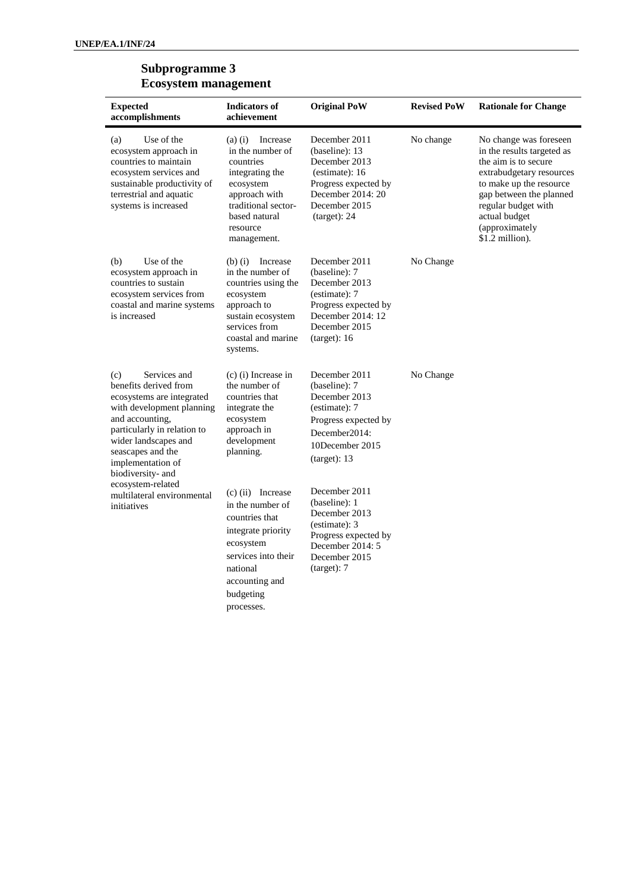#### **Subprogramme 3 Ecosystem management**

| <b>Expected</b><br>accomplishments                                                                                                                                                                                                              | <b>Indicators of</b><br>achievement                                                                                                                                          | <b>Original PoW</b>                                                                                                                              | <b>Revised PoW</b> | <b>Rationale for Change</b>                                                                                                                                                                                                                 |
|-------------------------------------------------------------------------------------------------------------------------------------------------------------------------------------------------------------------------------------------------|------------------------------------------------------------------------------------------------------------------------------------------------------------------------------|--------------------------------------------------------------------------------------------------------------------------------------------------|--------------------|---------------------------------------------------------------------------------------------------------------------------------------------------------------------------------------------------------------------------------------------|
| Use of the<br>(a)<br>ecosystem approach in<br>countries to maintain<br>ecosystem services and<br>sustainable productivity of<br>terrestrial and aquatic<br>systems is increased                                                                 | $(a)$ (i)<br>Increase<br>in the number of<br>countries<br>integrating the<br>ecosystem<br>approach with<br>traditional sector-<br>based natural<br>resource<br>management.   | December 2011<br>(baseline): 13<br>December 2013<br>(estimate): 16<br>Progress expected by<br>December 2014: 20<br>December 2015<br>(target): 24 | No change          | No change was foreseen<br>in the results targeted as<br>the aim is to secure<br>extrabudgetary resources<br>to make up the resource<br>gap between the planned<br>regular budget with<br>actual budget<br>(approximately<br>\$1.2 million). |
| Use of the<br>(b)<br>ecosystem approach in<br>countries to sustain<br>ecosystem services from<br>coastal and marine systems<br>is increased                                                                                                     | $(b)$ (i)<br>Increase<br>in the number of<br>countries using the<br>ecosystem<br>approach to<br>sustain ecosystem<br>services from<br>coastal and marine<br>systems.         | December 2011<br>(baseline): 7<br>December 2013<br>(estimate): 7<br>Progress expected by<br>December 2014: 12<br>December 2015<br>(target): 16   | No Change          |                                                                                                                                                                                                                                             |
| (c)<br>Services and<br>benefits derived from<br>ecosystems are integrated<br>with development planning<br>and accounting,<br>particularly in relation to<br>wider landscapes and<br>seascapes and the<br>implementation of<br>biodiversity- and | $(c)$ (i) Increase in<br>the number of<br>countries that<br>integrate the<br>ecosystem<br>approach in<br>development<br>planning.                                            | December 2011<br>(baseline): 7<br>December 2013<br>(estimate): 7<br>Progress expected by<br>December2014:<br>10December 2015<br>(target): 13     | No Change          |                                                                                                                                                                                                                                             |
| ecosystem-related<br>multilateral environmental<br>initiatives                                                                                                                                                                                  | $(c)$ (ii) Increase<br>in the number of<br>countries that<br>integrate priority<br>ecosystem<br>services into their<br>national<br>accounting and<br>budgeting<br>processes. | December 2011<br>(baseline): 1<br>December 2013<br>(estimate): 3<br>Progress expected by<br>December $2014:5$<br>December 2015<br>(target): 7    |                    |                                                                                                                                                                                                                                             |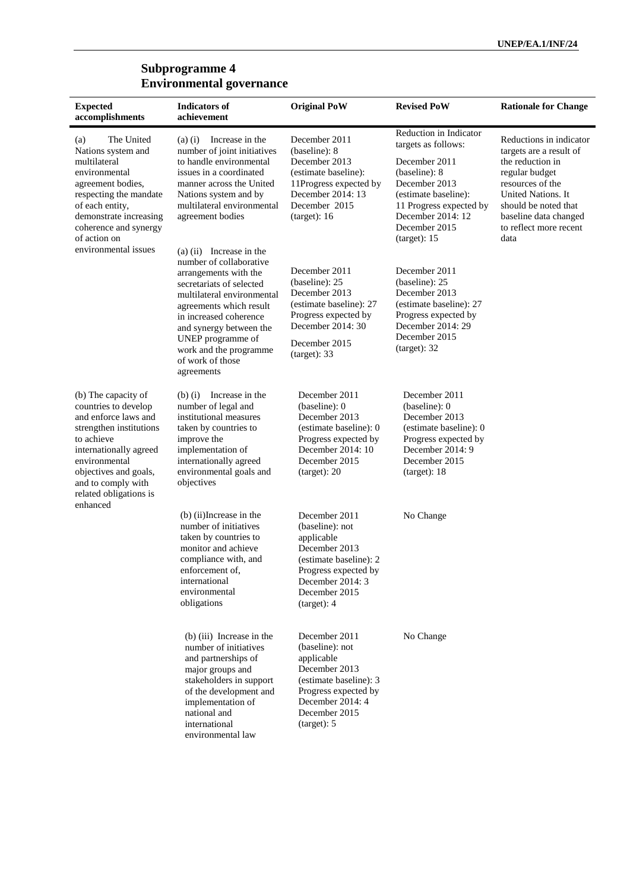#### **Subprogramme 4 Environmental governance**

| <b>Expected</b><br>accomplishments                                                                                                                                                                                               | <b>Indicators of</b><br>achievement                                                                                                                                                                                                                                                                       | <b>Original PoW</b>                                                                                                                                                   | <b>Revised PoW</b>                                                                                                                                                                                        | <b>Rationale for Change</b>                                                                                                                                                                                           |
|----------------------------------------------------------------------------------------------------------------------------------------------------------------------------------------------------------------------------------|-----------------------------------------------------------------------------------------------------------------------------------------------------------------------------------------------------------------------------------------------------------------------------------------------------------|-----------------------------------------------------------------------------------------------------------------------------------------------------------------------|-----------------------------------------------------------------------------------------------------------------------------------------------------------------------------------------------------------|-----------------------------------------------------------------------------------------------------------------------------------------------------------------------------------------------------------------------|
| The United<br>(a)<br>Nations system and<br>multilateral<br>environmental<br>agreement bodies,<br>respecting the mandate<br>of each entity,<br>demonstrate increasing<br>coherence and synergy<br>of action on                    | Increase in the<br>$(a)$ $(i)$<br>number of joint initiatives<br>to handle environmental<br>issues in a coordinated<br>manner across the United<br>Nations system and by<br>multilateral environmental<br>agreement bodies                                                                                | December 2011<br>(baseline): 8<br>December 2013<br>(estimate baseline):<br>11Progress expected by<br>December 2014: 13<br>December 2015<br>(target): 16               | Reduction in Indicator<br>targets as follows:<br>December 2011<br>(baseline): 8<br>December 2013<br>(estimate baseline):<br>11 Progress expected by<br>December 2014: 12<br>December 2015<br>(target): 15 | Reductions in indicator<br>targets are a result of<br>the reduction in<br>regular budget<br>resources of the<br>United Nations. It<br>should be noted that<br>baseline data changed<br>to reflect more recent<br>data |
| environmental issues                                                                                                                                                                                                             | $(a)$ (ii) Increase in the<br>number of collaborative<br>arrangements with the<br>secretariats of selected<br>multilateral environmental<br>agreements which result<br>in increased coherence<br>and synergy between the<br>UNEP programme of<br>work and the programme<br>of work of those<br>agreements | December 2011<br>(baseline): 25<br>December 2013<br>(estimate baseline): 27<br>Progress expected by<br>December 2014: 30<br>December 2015<br>(target): 33             | December 2011<br>(baseline): 25<br>December 2013<br>(estimate baseline): 27<br>Progress expected by<br>December 2014: 29<br>December 2015<br>(target): 32                                                 |                                                                                                                                                                                                                       |
| (b) The capacity of<br>countries to develop<br>and enforce laws and<br>strengthen institutions<br>to achieve<br>internationally agreed<br>environmental<br>objectives and goals,<br>and to comply with<br>related obligations is | Increase in the<br>$(b)$ (i)<br>number of legal and<br>institutional measures<br>taken by countries to<br>improve the<br>implementation of<br>internationally agreed<br>environmental goals and<br>objectives                                                                                             | December 2011<br>(baseline): 0<br>December 2013<br>(estimate baseline): 0<br>Progress expected by<br>December 2014: 10<br>December 2015<br>(target): 20               | December 2011<br>(baseline): 0<br>December 2013<br>(estimate baseline): 0<br>Progress expected by<br>December 2014: 9<br>December 2015<br>(target): 18                                                    |                                                                                                                                                                                                                       |
| enhanced                                                                                                                                                                                                                         | (b) (ii) Increase in the<br>number of initiatives<br>taken by countries to<br>monitor and achieve<br>compliance with, and<br>enforcement of,<br>international<br>environmental<br>obligations                                                                                                             | December 2011<br>(baseline): not<br>applicable<br>December 2013<br>(estimate baseline): 2<br>Progress expected by<br>December 2014: 3<br>December 2015<br>(target): 4 | No Change                                                                                                                                                                                                 |                                                                                                                                                                                                                       |
|                                                                                                                                                                                                                                  | (b) (iii) Increase in the<br>number of initiatives<br>and partnerships of<br>major groups and<br>stakeholders in support<br>of the development and<br>implementation of<br>national and<br>international<br>environmental law                                                                             | December 2011<br>(baseline): not<br>applicable<br>December 2013<br>(estimate baseline): 3<br>Progress expected by<br>December 2014: 4<br>December 2015<br>(target): 5 | No Change                                                                                                                                                                                                 |                                                                                                                                                                                                                       |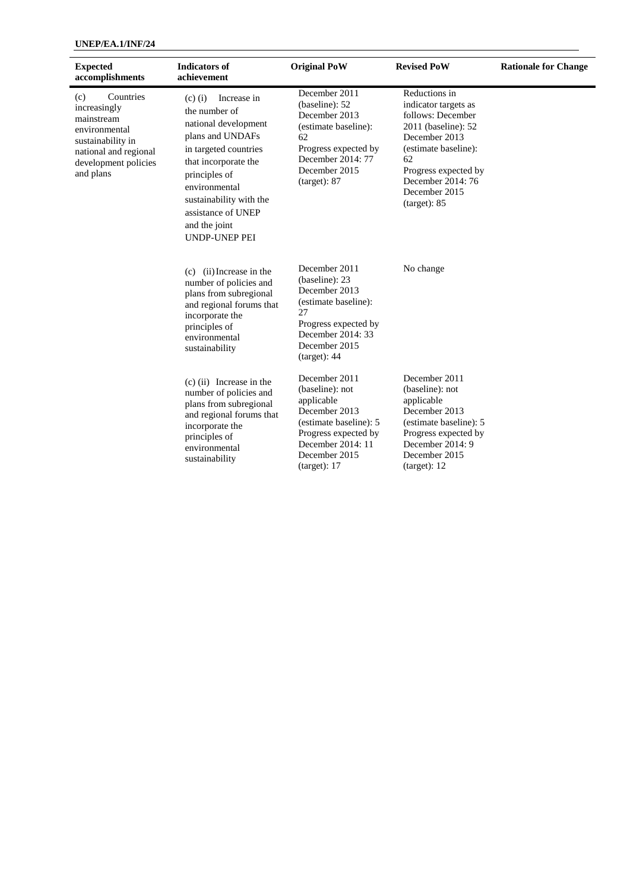#### **UNEP/EA.1/INF/24**

| <b>Expected</b><br>accomplishments                                                                                                                 | <b>Indicators of</b><br>achievement                                                                                                                                                                                                                                | <b>Original PoW</b>                                                                                                                                                     | <b>Revised PoW</b>                                                                                                                                                                                             | <b>Rationale for Change</b> |
|----------------------------------------------------------------------------------------------------------------------------------------------------|--------------------------------------------------------------------------------------------------------------------------------------------------------------------------------------------------------------------------------------------------------------------|-------------------------------------------------------------------------------------------------------------------------------------------------------------------------|----------------------------------------------------------------------------------------------------------------------------------------------------------------------------------------------------------------|-----------------------------|
| Countries<br>(c)<br>increasingly<br>mainstream<br>environmental<br>sustainability in<br>national and regional<br>development policies<br>and plans | Increase in<br>$(c)$ (i)<br>the number of<br>national development<br>plans and UNDAFs<br>in targeted countries<br>that incorporate the<br>principles of<br>environmental<br>sustainability with the<br>assistance of UNEP<br>and the joint<br><b>UNDP-UNEP PEI</b> | December 2011<br>(baseline): 52<br>December 2013<br>(estimate baseline):<br>62<br>Progress expected by<br>December 2014: 77<br>December 2015<br>(target): 87            | Reductions in<br>indicator targets as<br>follows: December<br>2011 (baseline): 52<br>December 2013<br>(estimate baseline):<br>62<br>Progress expected by<br>December 2014: 76<br>December 2015<br>(target): 85 |                             |
|                                                                                                                                                    | $(c)$ (ii) Increase in the<br>number of policies and<br>plans from subregional<br>and regional forums that<br>incorporate the<br>principles of<br>environmental<br>sustainability                                                                                  | December 2011<br>(baseline): 23<br>December 2013<br>(estimate baseline):<br>27<br>Progress expected by<br>December 2014: 33<br>December 2015<br>(target): 44            | No change                                                                                                                                                                                                      |                             |
|                                                                                                                                                    | $(c)$ (ii) Increase in the<br>number of policies and<br>plans from subregional<br>and regional forums that<br>incorporate the<br>principles of<br>environmental<br>sustainability                                                                                  | December 2011<br>(baseline): not<br>applicable<br>December 2013<br>(estimate baseline): 5<br>Progress expected by<br>December 2014: 11<br>December 2015<br>(target): 17 | December 2011<br>(baseline): not<br>applicable<br>December 2013<br>(estimate baseline): 5<br>Progress expected by<br>December 2014: 9<br>December 2015<br>(target): 12                                         |                             |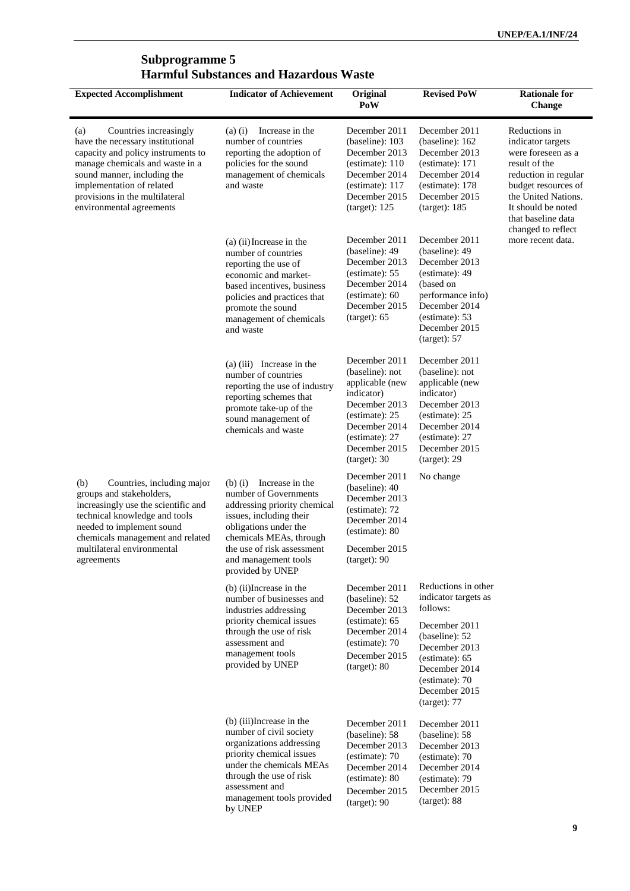#### **Subprogramme 5 Harmful Substances and Hazardous Waste**

| <b>Expected Accomplishment</b>                                                                                                                                                                                                                                       | <b>Indicator of Achievement</b>                                                                                                                                                                                                                | Original<br>PoW                                                                                                                                                          | <b>Revised PoW</b>                                                                                                                                                                                | <b>Rationale for</b><br><b>Change</b>                                                                                                                                                                             |
|----------------------------------------------------------------------------------------------------------------------------------------------------------------------------------------------------------------------------------------------------------------------|------------------------------------------------------------------------------------------------------------------------------------------------------------------------------------------------------------------------------------------------|--------------------------------------------------------------------------------------------------------------------------------------------------------------------------|---------------------------------------------------------------------------------------------------------------------------------------------------------------------------------------------------|-------------------------------------------------------------------------------------------------------------------------------------------------------------------------------------------------------------------|
| Countries increasingly<br>(a)<br>have the necessary institutional<br>capacity and policy instruments to<br>manage chemicals and waste in a<br>sound manner, including the<br>implementation of related<br>provisions in the multilateral<br>environmental agreements | $(a)$ $(i)$<br>Increase in the<br>number of countries<br>reporting the adoption of<br>policies for the sound<br>management of chemicals<br>and waste                                                                                           | December 2011<br>(baseline): 103<br>December 2013<br>(estimate): 110<br>December 2014<br>(estimate): 117<br>December 2015<br>(target): 125                               | December 2011<br>(baseline): 162<br>December 2013<br>(estimate): 171<br>December 2014<br>(estimate): 178<br>December 2015<br>(target): 185                                                        | Reductions in<br>indicator targets<br>were foreseen as a<br>result of the<br>reduction in regular<br>budget resources of<br>the United Nations.<br>It should be noted<br>that baseline data<br>changed to reflect |
|                                                                                                                                                                                                                                                                      | (a) (ii) Increase in the<br>number of countries<br>reporting the use of<br>economic and market-<br>based incentives, business<br>policies and practices that<br>promote the sound<br>management of chemicals<br>and waste                      | December 2011<br>(baseline): 49<br>December 2013<br>(estimate): 55<br>December 2014<br>(estimate): 60<br>December 2015<br>(target): 65                                   | December 2011<br>(baseline): 49<br>December 2013<br>(estimate): 49<br>(based on<br>performance info)<br>December 2014<br>(estimate): 53<br>December 2015<br>(target): 57                          | more recent data.                                                                                                                                                                                                 |
|                                                                                                                                                                                                                                                                      | $(a)$ (iii) Increase in the<br>number of countries<br>reporting the use of industry<br>reporting schemes that<br>promote take-up of the<br>sound management of<br>chemicals and waste                                                          | December 2011<br>(baseline): not<br>applicable (new<br>indicator)<br>December 2013<br>(estimate): 25<br>December 2014<br>(estimate): 27<br>December 2015<br>(target): 30 | December 2011<br>(baseline): not<br>applicable (new<br>indicator)<br>December 2013<br>(estimate): 25<br>December 2014<br>(estimate): 27<br>December 2015<br>(target): 29                          |                                                                                                                                                                                                                   |
| Countries, including major<br>(b)<br>groups and stakeholders,<br>increasingly use the scientific and<br>technical knowledge and tools<br>needed to implement sound<br>chemicals management and related<br>multilateral environmental<br>agreements                   | Increase in the<br>$(b)$ (i)<br>number of Governments<br>addressing priority chemical<br>issues, including their<br>obligations under the<br>chemicals MEAs, through<br>the use of risk assessment<br>and management tools<br>provided by UNEP | December 2011<br>(baseline): 40<br>December 2013<br>(estimate): 72<br>December 2014<br>(estimate): 80<br>December 2015<br>(target): 90                                   | No change                                                                                                                                                                                         |                                                                                                                                                                                                                   |
|                                                                                                                                                                                                                                                                      | (b) (ii) Increase in the<br>number of businesses and<br>industries addressing<br>priority chemical issues<br>through the use of risk<br>assessment and<br>management tools<br>provided by UNEP                                                 | December 2011<br>(baseline): 52<br>December 2013<br>(estimate): 65<br>December 2014<br>(estimate): 70<br>December 2015<br>(target): 80                                   | Reductions in other<br>indicator targets as<br>follows:<br>December 2011<br>(baseline): 52<br>December 2013<br>(estimate): 65<br>December 2014<br>(estimate): 70<br>December 2015<br>(target): 77 |                                                                                                                                                                                                                   |
|                                                                                                                                                                                                                                                                      | (b) (iii) Increase in the<br>number of civil society<br>organizations addressing<br>priority chemical issues<br>under the chemicals MEAs<br>through the use of risk<br>assessment and<br>management tools provided<br>by UNEP                  | December 2011<br>(baseline): 58<br>December 2013<br>(estimate): 70<br>December 2014<br>(estimate): 80<br>December 2015<br>(target): 90                                   | December 2011<br>(baseline): 58<br>December 2013<br>(estimate): 70<br>December 2014<br>(estimate): 79<br>December 2015<br>(target): 88                                                            |                                                                                                                                                                                                                   |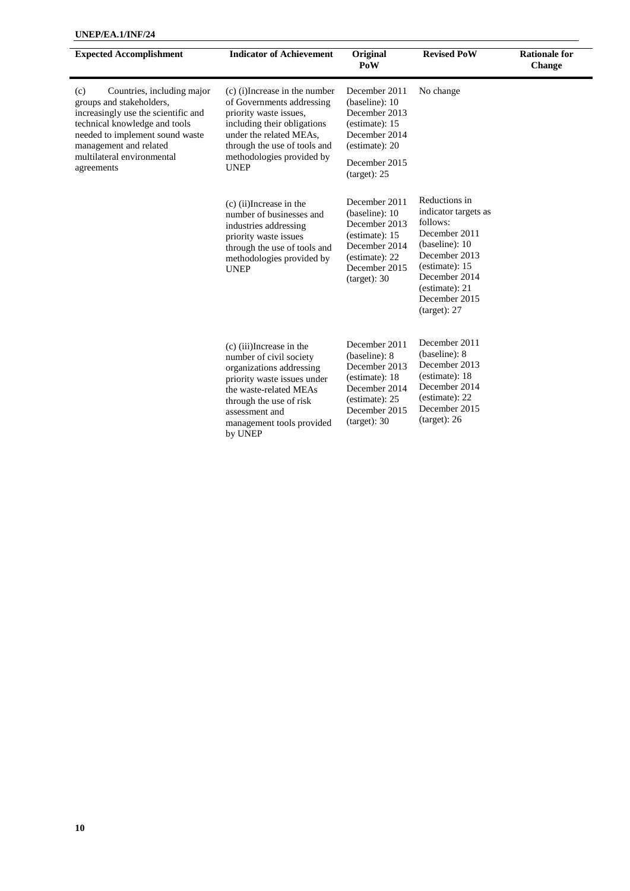| <b>Expected Accomplishment</b>                                                                                                                                                                     | <b>Indicator of Achievement</b>                                                                                                                                                                                               | Original<br>PoW                                                                                                                        | <b>Revised PoW</b>                                                                                                                                                                          | <b>Rationale for</b><br>Change |
|----------------------------------------------------------------------------------------------------------------------------------------------------------------------------------------------------|-------------------------------------------------------------------------------------------------------------------------------------------------------------------------------------------------------------------------------|----------------------------------------------------------------------------------------------------------------------------------------|---------------------------------------------------------------------------------------------------------------------------------------------------------------------------------------------|--------------------------------|
| Countries, including major<br>(c)<br>groups and stakeholders,<br>increasingly use the scientific and<br>technical knowledge and tools<br>needed to implement sound waste<br>management and related | (c) (i) Increase in the number<br>of Governments addressing<br>priority waste issues,<br>including their obligations<br>under the related MEAs,<br>through the use of tools and                                               | December 2011<br>(baseline): 10<br>December 2013<br>(estimate): 15<br>December 2014<br>(estimate): 20                                  | No change                                                                                                                                                                                   |                                |
| multilateral environmental<br>agreements                                                                                                                                                           | methodologies provided by<br><b>UNEP</b>                                                                                                                                                                                      | December 2015<br>(target): 25                                                                                                          |                                                                                                                                                                                             |                                |
|                                                                                                                                                                                                    | $(c)$ (ii) Increase in the<br>number of businesses and<br>industries addressing<br>priority waste issues<br>through the use of tools and<br>methodologies provided by<br><b>UNEP</b>                                          | December 2011<br>(baseline): 10<br>December 2013<br>(estimate): 15<br>December 2014<br>(estimate): 22<br>December 2015<br>(target): 30 | Reductions in<br>indicator targets as<br>follows:<br>December 2011<br>(baseline): 10<br>December 2013<br>(estimate): 15<br>December 2014<br>(estimate): 21<br>December 2015<br>(target): 27 |                                |
|                                                                                                                                                                                                    | (c) (iii)Increase in the<br>number of civil society<br>organizations addressing<br>priority waste issues under<br>the waste-related MEAs<br>through the use of risk<br>assessment and<br>management tools provided<br>by UNEP | December 2011<br>(baseline): 8<br>December 2013<br>(estimate): 18<br>December 2014<br>(estimate): 25<br>December 2015<br>(target): 30  | December 2011<br>(baseline): 8<br>December 2013<br>(estimate): 18<br>December 2014<br>(estimate): 22<br>December 2015<br>(target): 26                                                       |                                |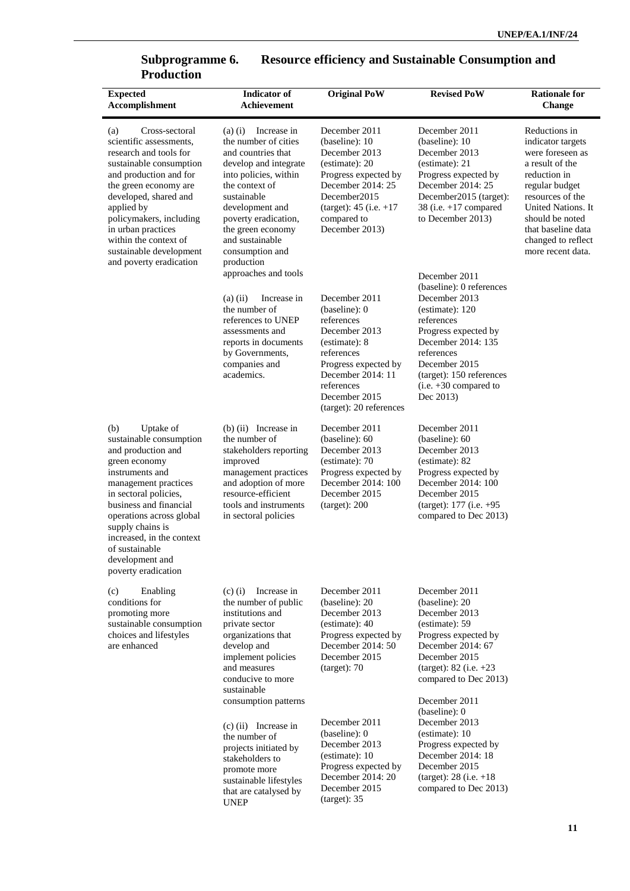| vuuttivii<br><b>Expected</b><br>Accomplishment                                                                                                                                                                                                                                                                                  | <b>Indicator</b> of<br>Achievement                                                                                                                                                                                                                                                                      | <b>Original PoW</b>                                                                                                                                                                                 | <b>Revised PoW</b>                                                                                                                                                                                                          | <b>Rationale for</b><br>Change                                                                                                                                                                                                            |
|---------------------------------------------------------------------------------------------------------------------------------------------------------------------------------------------------------------------------------------------------------------------------------------------------------------------------------|---------------------------------------------------------------------------------------------------------------------------------------------------------------------------------------------------------------------------------------------------------------------------------------------------------|-----------------------------------------------------------------------------------------------------------------------------------------------------------------------------------------------------|-----------------------------------------------------------------------------------------------------------------------------------------------------------------------------------------------------------------------------|-------------------------------------------------------------------------------------------------------------------------------------------------------------------------------------------------------------------------------------------|
| Cross-sectoral<br>(a)<br>scientific assessments,<br>research and tools for<br>sustainable consumption<br>and production and for<br>the green economy are<br>developed, shared and<br>applied by<br>policymakers, including<br>in urban practices<br>within the context of<br>sustainable development<br>and poverty eradication | Increase in<br>$(a)$ $(i)$<br>the number of cities<br>and countries that<br>develop and integrate<br>into policies, within<br>the context of<br>sustainable<br>development and<br>poverty eradication,<br>the green economy<br>and sustainable<br>consumption and<br>production<br>approaches and tools | December 2011<br>(baseline): 10<br>December 2013<br>(estimate): 20<br>Progress expected by<br>December 2014: 25<br>December2015<br>$(target): 45$ (i.e. $+17$<br>compared to<br>December 2013)      | December 2011<br>(baseline): 10<br>December 2013<br>(estimate): 21<br>Progress expected by<br>December 2014: 25<br>December 2015 (target):<br>38 (i.e. $+17$ compared<br>to December 2013)<br>December 2011                 | Reductions in<br>indicator targets<br>were foreseen as<br>a result of the<br>reduction in<br>regular budget<br>resources of the<br>United Nations. It<br>should be noted<br>that baseline data<br>changed to reflect<br>more recent data. |
|                                                                                                                                                                                                                                                                                                                                 | Increase in<br>$(a)$ (ii)<br>the number of<br>references to UNEP<br>assessments and<br>reports in documents<br>by Governments,<br>companies and<br>academics.                                                                                                                                           | December 2011<br>(baseline): 0<br>references<br>December 2013<br>(estimate): 8<br>references<br>Progress expected by<br>December 2014: 11<br>references<br>December 2015<br>(target): 20 references | (baseline): 0 references<br>December 2013<br>(estimate): 120<br>references<br>Progress expected by<br>December 2014: 135<br>references<br>December 2015<br>(target): 150 references<br>$(i.e. +30$ compared to<br>Dec 2013) |                                                                                                                                                                                                                                           |
| Uptake of<br>(b)<br>sustainable consumption<br>and production and<br>green economy<br>instruments and<br>management practices<br>in sectoral policies,<br>business and financial<br>operations across global<br>supply chains is<br>increased, in the context<br>of sustainable<br>development and<br>poverty eradication       | $(b)$ (ii) Increase in<br>the number of<br>stakeholders reporting<br>improved<br>management practices<br>and adoption of more<br>resource-efficient<br>tools and instruments<br>in sectoral policies                                                                                                    | December 2011<br>(baseline): 60<br>December 2013<br>(estimate): 70<br>Progress expected by<br>December 2014: 100<br>December 2015<br>(target): 200                                                  | December 2011<br>(baseline): 60<br>December 2013<br>(estimate): 82<br>Progress expected by<br>December 2014: 100<br>December 2015<br>(target): 177 (i.e. +95<br>compared to Dec 2013)                                       |                                                                                                                                                                                                                                           |
| Enabling<br>(c)<br>conditions for<br>promoting more<br>sustainable consumption<br>choices and lifestyles<br>are enhanced                                                                                                                                                                                                        | Increase in<br>$(c)$ (i)<br>the number of public<br>institutions and<br>private sector<br>organizations that<br>develop and<br>implement policies<br>and measures<br>conducive to more<br>sustainable                                                                                                   | December 2011<br>(baseline): 20<br>December 2013<br>(estimate): 40<br>Progress expected by<br>December 2014: 50<br>December 2015<br>(target): 70                                                    | December 2011<br>(baseline): 20<br>December 2013<br>(estimate): 59<br>Progress expected by<br>December 2014: 67<br>December 2015<br>(target): $82$ (i.e. $+23$<br>compared to Dec 2013)                                     |                                                                                                                                                                                                                                           |
|                                                                                                                                                                                                                                                                                                                                 | consumption patterns<br>$(c)$ (ii) Increase in<br>the number of<br>projects initiated by<br>stakeholders to<br>promote more<br>sustainable lifestyles<br>that are catalysed by<br><b>UNEP</b>                                                                                                           | December 2011<br>(baseline): 0<br>December 2013<br>(estimate): 10<br>Progress expected by<br>December 2014: 20<br>December 2015<br>(target): 35                                                     | December 2011<br>(baseline): 0<br>December 2013<br>(estimate): 10<br>Progress expected by<br>December 2014: 18<br>December 2015<br>$(target): 28$ (i.e. $+18$ )<br>compared to Dec 2013)                                    |                                                                                                                                                                                                                                           |

### **Subprogramme 6. Resource efficiency and Sustainable Consumption and Subprogramme 6.**<br>Production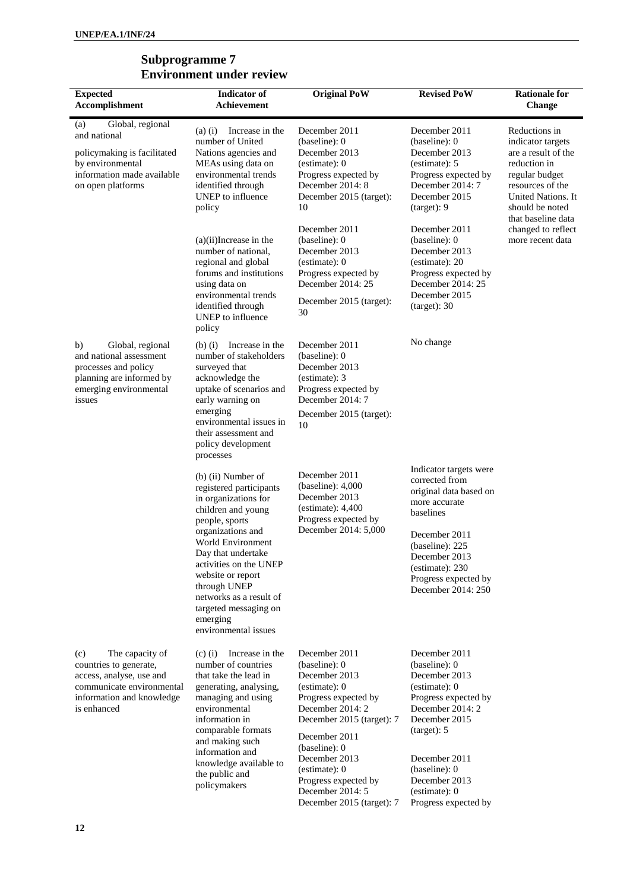| <b>Expected</b><br>Accomplishment                                                                                                                     | <b>Indicator</b> of<br>Achievement                                                                                                                                                                                                                                                                                                     | <b>Original PoW</b>                                                                                                                                                                                                                                                                    | <b>Revised PoW</b>                                                                                                                                                                                                                       | <b>Rationale for</b><br><b>Change</b>                                                                                                                                          |
|-------------------------------------------------------------------------------------------------------------------------------------------------------|----------------------------------------------------------------------------------------------------------------------------------------------------------------------------------------------------------------------------------------------------------------------------------------------------------------------------------------|----------------------------------------------------------------------------------------------------------------------------------------------------------------------------------------------------------------------------------------------------------------------------------------|------------------------------------------------------------------------------------------------------------------------------------------------------------------------------------------------------------------------------------------|--------------------------------------------------------------------------------------------------------------------------------------------------------------------------------|
| Global, regional<br>(a)<br>and national<br>policymaking is facilitated<br>by environmental<br>information made available<br>on open platforms         | Increase in the<br>$(a)$ $(i)$<br>number of United<br>Nations agencies and<br>MEAs using data on<br>environmental trends<br>identified through<br>UNEP to influence<br>policy                                                                                                                                                          | December 2011<br>(baseline): 0<br>December 2013<br>(estimate): 0<br>Progress expected by<br>December 2014: 8<br>December 2015 (target):<br>10                                                                                                                                          | December 2011<br>(baseline): 0<br>December 2013<br>(estimate): 5<br>Progress expected by<br>December 2014: 7<br>December 2015<br>(target): 9                                                                                             | Reductions in<br>indicator targets<br>are a result of the<br>reduction in<br>regular budget<br>resources of the<br>United Nations. It<br>should be noted<br>that baseline data |
|                                                                                                                                                       | $(a)(ii)$ Increase in the<br>number of national,<br>regional and global<br>forums and institutions<br>using data on<br>environmental trends<br>identified through<br>UNEP to influence<br>policy                                                                                                                                       | December 2011<br>(baseline): 0<br>December 2013<br>(estimate): 0<br>Progress expected by<br>December 2014: 25<br>December 2015 (target):<br>30                                                                                                                                         | December 2011<br>(baseline): 0<br>December 2013<br>(estimate): 20<br>Progress expected by<br>December 2014: 25<br>December 2015<br>(target): 30                                                                                          | changed to reflect<br>more recent data                                                                                                                                         |
| Global, regional<br>b)<br>and national assessment<br>processes and policy<br>planning are informed by<br>emerging environmental<br>issues             | Increase in the<br>$(b)$ (i)<br>number of stakeholders<br>surveyed that<br>acknowledge the<br>uptake of scenarios and<br>early warning on<br>emerging<br>environmental issues in<br>their assessment and<br>policy development<br>processes                                                                                            | December 2011<br>(baseline): 0<br>December 2013<br>(estimate): 3<br>Progress expected by<br>December 2014: 7<br>December 2015 (target):<br>10                                                                                                                                          | No change                                                                                                                                                                                                                                |                                                                                                                                                                                |
|                                                                                                                                                       | $(b)$ (ii) Number of<br>registered participants<br>in organizations for<br>children and young<br>people, sports<br>organizations and<br>World Environment<br>Day that undertake<br>activities on the UNEP<br>website or report<br>through UNEP<br>networks as a result of<br>targeted messaging on<br>emerging<br>environmental issues | December 2011<br>(baseline): 4,000<br>December 2013<br>(estimate): 4,400<br>Progress expected by<br>December 2014: 5,000                                                                                                                                                               | Indicator targets were<br>corrected from<br>original data based on<br>more accurate<br>baselines<br>December 2011<br>(baseline): 225<br>December 2013<br>(estimate): 230<br>Progress expected by<br>December 2014: 250                   |                                                                                                                                                                                |
| The capacity of<br>(c)<br>countries to generate,<br>access, analyse, use and<br>communicate environmental<br>information and knowledge<br>is enhanced | Increase in the<br>$(c)$ (i)<br>number of countries<br>that take the lead in<br>generating, analysing,<br>managing and using<br>environmental<br>information in<br>comparable formats<br>and making such<br>information and<br>knowledge available to<br>the public and<br>policymakers                                                | December 2011<br>(baseline): 0<br>December 2013<br>(estimate): 0<br>Progress expected by<br>December 2014: 2<br>December 2015 (target): 7<br>December 2011<br>(baseline): 0<br>December 2013<br>(estimate): 0<br>Progress expected by<br>December 2014: 5<br>December 2015 (target): 7 | December 2011<br>(baseline): 0<br>December 2013<br>(estimate): 0<br>Progress expected by<br>December 2014: 2<br>December 2015<br>(target): 5<br>December 2011<br>(baseline): 0<br>December 2013<br>(estimate): 0<br>Progress expected by |                                                                                                                                                                                |

#### **Subprogramme 7 Environment under review**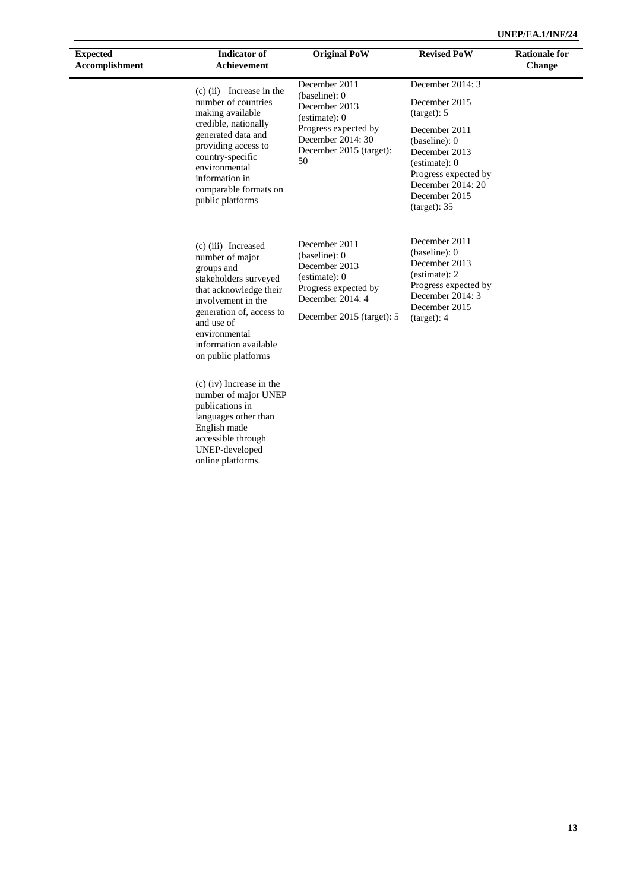| <b>Expected</b><br>Accomplishment | <b>Indicator</b> of<br><b>Achievement</b>                                                                                                                                                                                                | <b>Original PoW</b>                                                                                                                       | <b>Revised PoW</b>                                                                                                                             | <b>Rationale for</b><br><b>Change</b> |
|-----------------------------------|------------------------------------------------------------------------------------------------------------------------------------------------------------------------------------------------------------------------------------------|-------------------------------------------------------------------------------------------------------------------------------------------|------------------------------------------------------------------------------------------------------------------------------------------------|---------------------------------------|
|                                   | $(c)$ (ii) Increase in the<br>number of countries<br>making available                                                                                                                                                                    | December 2011<br>(baseline): 0<br>December 2013<br>(estimate): 0                                                                          | December 2014: 3<br>December 2015<br>(target): 5                                                                                               |                                       |
|                                   | credible, nationally<br>generated data and<br>providing access to<br>country-specific<br>environmental<br>information in<br>comparable formats on<br>public platforms                                                                    | Progress expected by<br>December 2014: 30<br>December 2015 (target):<br>50                                                                | December 2011<br>(baseline): 0<br>December 2013<br>(estimate): 0<br>Progress expected by<br>December 2014: 20<br>December 2015<br>(target): 35 |                                       |
|                                   | (c) (iii) Increased<br>number of major<br>groups and<br>stakeholders surveyed<br>that acknowledge their<br>involvement in the<br>generation of, access to<br>and use of<br>environmental<br>information available<br>on public platforms | December 2011<br>(baseline): 0<br>December 2013<br>(estimate): 0<br>Progress expected by<br>December 2014: 4<br>December 2015 (target): 5 | December 2011<br>(baseline): 0<br>December 2013<br>(estimate): 2<br>Progress expected by<br>December 2014: 3<br>December 2015<br>(target): 4   |                                       |
|                                   | $(c)$ (iv) Increase in the<br>number of major UNEP<br>publications in<br>languages other than<br>English made<br>accessible through<br>UNEP-developed<br>online platforms.                                                               |                                                                                                                                           |                                                                                                                                                |                                       |